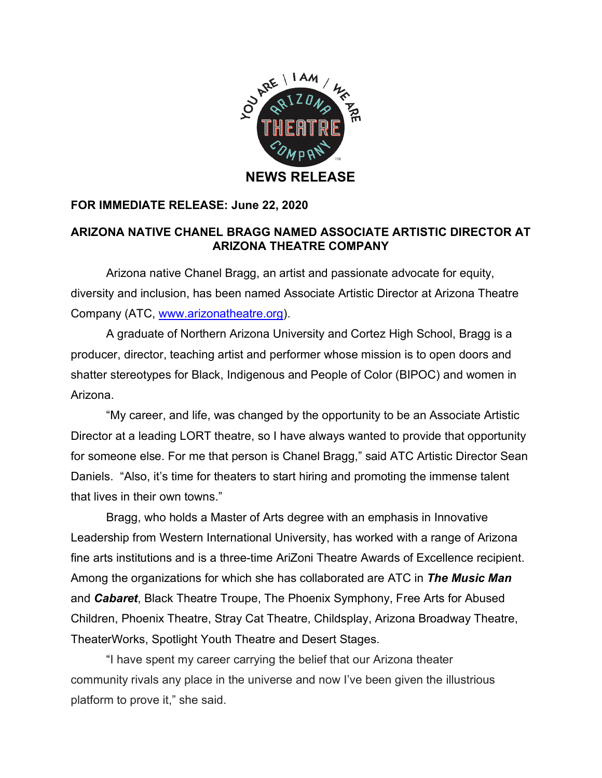

## **FOR IMMEDIATE RELEASE: June 22, 2020**

## **ARIZONA NATIVE CHANEL BRAGG NAMED ASSOCIATE ARTISTIC DIRECTOR AT ARIZONA THEATRE COMPANY**

Arizona native Chanel Bragg, an artist and passionate advocate for equity, diversity and inclusion, has been named Associate Artistic Director at Arizona Theatre Company (ATC, www.arizonatheatre.org).

A graduate of Northern Arizona University and Cortez High School, Bragg is a producer, director, teaching artist and performer whose mission is to open doors and shatter stereotypes for Black, Indigenous and People of Color (BIPOC) and women in Arizona.

"My career, and life, was changed by the opportunity to be an Associate Artistic Director at a leading LORT theatre, so I have always wanted to provide that opportunity for someone else. For me that person is Chanel Bragg," said ATC Artistic Director Sean Daniels. "Also, it's time for theaters to start hiring and promoting the immense talent that lives in their own towns."

Bragg, who holds a Master of Arts degree with an emphasis in Innovative Leadership from Western International University, has worked with a range of Arizona fine arts institutions and is a three-time AriZoni Theatre Awards of Excellence recipient. Among the organizations for which she has collaborated are ATC in *The Music Man* and *Cabaret*, Black Theatre Troupe, The Phoenix Symphony, Free Arts for Abused Children, Phoenix Theatre, Stray Cat Theatre, Childsplay, Arizona Broadway Theatre, TheaterWorks, Spotlight Youth Theatre and Desert Stages.

"I have spent my career carrying the belief that our Arizona theater community rivals any place in the universe and now I've been given the illustrious platform to prove it," she said.